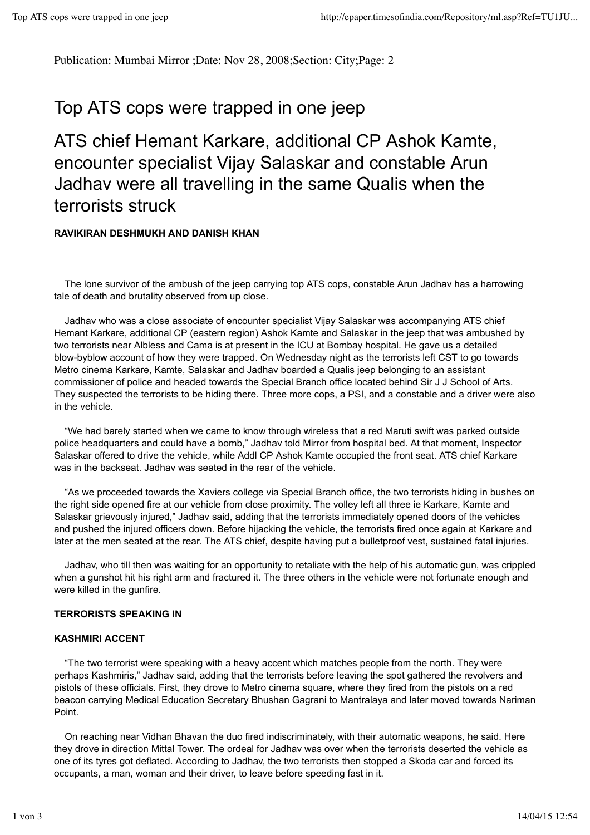Publication: Mumbai Mirror ;Date: Nov 28, 2008;Section: City;Page: 2

## Top ATS cops were trapped in one jeep

# ATS chief Hemant Karkare, additional CP Ashok Kamte, encounter specialist Vijay Salaskar and constable Arun Jadhav were all travelling in the same Qualis when the terrorists struck

## **RAVIKIRAN DESHMUKH AND DANISH KHAN**

 The lone survivor of the ambush of the jeep carrying top ATS cops, constable Arun Jadhav has a harrowing tale of death and brutality observed from up close.

 Jadhav who was a close associate of encounter specialist Vijay Salaskar was accompanying ATS chief Hemant Karkare, additional CP (eastern region) Ashok Kamte and Salaskar in the jeep that was ambushed by two terrorists near Albless and Cama is at present in the ICU at Bombay hospital. He gave us a detailed blow-byblow account of how they were trapped. On Wednesday night as the terrorists left CST to go towards Metro cinema Karkare, Kamte, Salaskar and Jadhav boarded a Qualis jeep belonging to an assistant commissioner of police and headed towards the Special Branch office located behind Sir J J School of Arts. They suspected the terrorists to be hiding there. Three more cops, a PSI, and a constable and a driver were also in the vehicle.

 "We had barely started when we came to know through wireless that a red Maruti swift was parked outside police headquarters and could have a bomb," Jadhav told Mirror from hospital bed. At that moment, Inspector Salaskar offered to drive the vehicle, while Addl CP Ashok Kamte occupied the front seat. ATS chief Karkare was in the backseat. Jadhav was seated in the rear of the vehicle.

 "As we proceeded towards the Xaviers college via Special Branch office, the two terrorists hiding in bushes on the right side opened fire at our vehicle from close proximity. The volley left all three ie Karkare, Kamte and Salaskar grievously injured," Jadhav said, adding that the terrorists immediately opened doors of the vehicles and pushed the injured officers down. Before hijacking the vehicle, the terrorists fired once again at Karkare and later at the men seated at the rear. The ATS chief, despite having put a bulletproof vest, sustained fatal injuries.

 Jadhav, who till then was waiting for an opportunity to retaliate with the help of his automatic gun, was crippled when a gunshot hit his right arm and fractured it. The three others in the vehicle were not fortunate enough and were killed in the gunfire.

#### **TERRORISTS SPEAKING IN**

#### **KASHMIRI ACCENT**

"The two terrorist were speaking with a heavy accent which matches people from the north. They were perhaps Kashmiris," Jadhav said, adding that the terrorists before leaving the spot gathered the revolvers and pistols of these officials. First, they drove to Metro cinema square, where they fired from the pistols on a red beacon carrying Medical Education Secretary Bhushan Gagrani to Mantralaya and later moved towards Nariman Point.

 On reaching near Vidhan Bhavan the duo fired indiscriminately, with their automatic weapons, he said. Here they drove in direction Mittal Tower. The ordeal for Jadhav was over when the terrorists deserted the vehicle as one of its tyres got deflated. According to Jadhav, the two terrorists then stopped a Skoda car and forced its occupants, a man, woman and their driver, to leave before speeding fast in it.